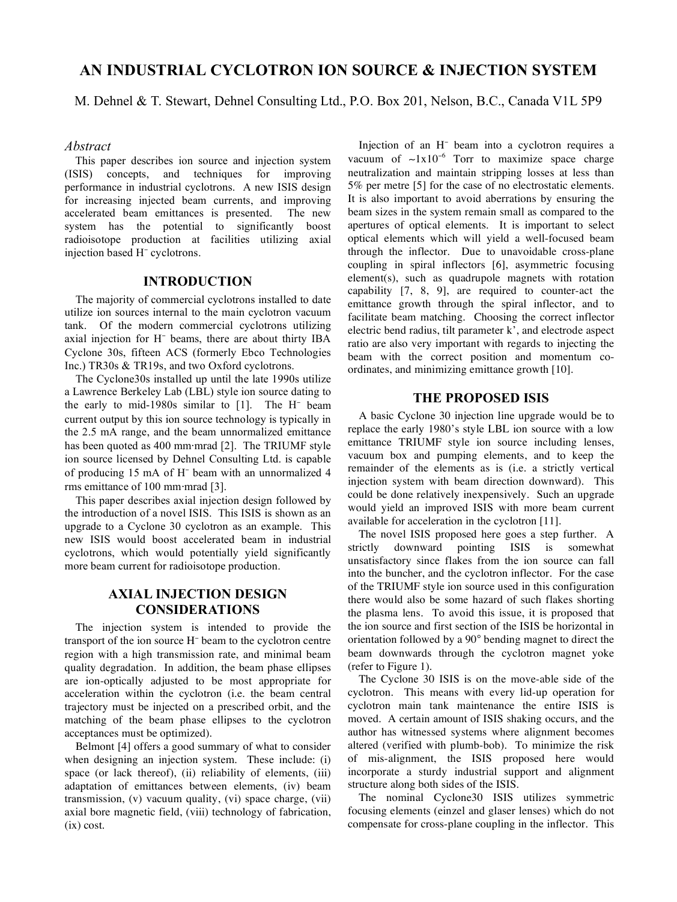# **AN INDUSTRIAL CYCLOTRON ION SOURCE & INJECTION SYSTEM**

M. Dehnel & T. Stewart, Dehnel Consulting Ltd., P.O. Box 201, Nelson, B.C., Canada V1L 5P9

#### *Abstract*

This paper describes ion source and injection system (ISIS) concepts, and techniques for improving performance in industrial cyclotrons. A new ISIS design for increasing injected beam currents, and improving accelerated beam emittances is presented. The new system has the potential to significantly boost radioisotope production at facilities utilizing axial injection based H cyclotrons.

## **INTRODUCTION**

The majority of commercial cyclotrons installed to date utilize ion sources internal to the main cyclotron vacuum tank. Of the modern commercial cyclotrons utilizing axial injection for H beams, there are about thirty IBA Cyclone 30s, fifteen ACS (formerly Ebco Technologies Inc.) TR30s & TR19s, and two Oxford cyclotrons.

The Cyclone30s installed up until the late 1990s utilize a Lawrence Berkeley Lab (LBL) style ion source dating to the early to mid-1980s similar to [1]. The H beam current output by this ion source technology is typically in the 2.5 mA range, and the beam unnormalized emittance has been quoted as 400 mm-mrad [2]. The TRIUMF style ion source licensed by Dehnel Consulting Ltd. is capable of producing 15 mA of H beam with an unnormalized 4 rms emittance of 100 mm-mrad [3].

This paper describes axial injection design followed by the introduction of a novel ISIS. This ISIS is shown as an upgrade to a Cyclone 30 cyclotron as an example. This new ISIS would boost accelerated beam in industrial cyclotrons, which would potentially yield significantly more beam current for radioisotope production.

# **AXIAL INJECTION DESIGN CONSIDERATIONS**

The injection system is intended to provide the transport of the ion source H<sup>-</sup> beam to the cyclotron centre region with a high transmission rate, and minimal beam quality degradation. In addition, the beam phase ellipses are ion-optically adjusted to be most appropriate for acceleration within the cyclotron (i.e. the beam central trajectory must be injected on a prescribed orbit, and the matching of the beam phase ellipses to the cyclotron acceptances must be optimized).

Belmont [4] offers a good summary of what to consider when designing an injection system. These include: (i) space (or lack thereof), (ii) reliability of elements, (iii) adaptation of emittances between elements, (iv) beam transmission, (v) vacuum quality, (vi) space charge, (vii) axial bore magnetic field, (viii) technology of fabrication, (ix) cost.

Injection of an H beam into a cyclotron requires a vacuum of  $\sim 1x10^{-6}$  Torr to maximize space charge neutralization and maintain stripping losses at less than 5% per metre [5] for the case of no electrostatic elements. It is also important to avoid aberrations by ensuring the beam sizes in the system remain small as compared to the apertures of optical elements. It is important to select optical elements which will yield a well-focused beam through the inflector. Due to unavoidable cross-plane coupling in spiral inflectors [6], asymmetric focusing element(s), such as quadrupole magnets with rotation capability [7, 8, 9], are required to counter-act the emittance growth through the spiral inflector, and to facilitate beam matching. Choosing the correct inflector electric bend radius, tilt parameter k', and electrode aspect ratio are also very important with regards to injecting the beam with the correct position and momentum coordinates, and minimizing emittance growth [10].

### **THE PROPOSED ISIS**

A basic Cyclone 30 injection line upgrade would be to replace the early 1980's style LBL ion source with a low emittance TRIUMF style ion source including lenses, vacuum box and pumping elements, and to keep the remainder of the elements as is (i.e. a strictly vertical injection system with beam direction downward). This could be done relatively inexpensively. Such an upgrade would yield an improved ISIS with more beam current available for acceleration in the cyclotron [11].

The novel ISIS proposed here goes a step further. A strictly downward pointing ISIS is somewhat unsatisfactory since flakes from the ion source can fall into the buncher, and the cyclotron inflector. For the case of the TRIUMF style ion source used in this configuration there would also be some hazard of such flakes shorting the plasma lens. To avoid this issue, it is proposed that the ion source and first section of the ISIS be horizontal in orientation followed by a 90° bending magnet to direct the beam downwards through the cyclotron magnet yoke (refer to Figure 1).

The Cyclone 30 ISIS is on the move-able side of the cyclotron. This means with every lid-up operation for cyclotron main tank maintenance the entire ISIS is moved. A certain amount of ISIS shaking occurs, and the author has witnessed systems where alignment becomes altered (verified with plumb-bob). To minimize the risk of mis-alignment, the ISIS proposed here would incorporate a sturdy industrial support and alignment structure along both sides of the ISIS.

The nominal Cyclone30 ISIS utilizes symmetric focusing elements (einzel and glaser lenses) which do not compensate for cross-plane coupling in the inflector. This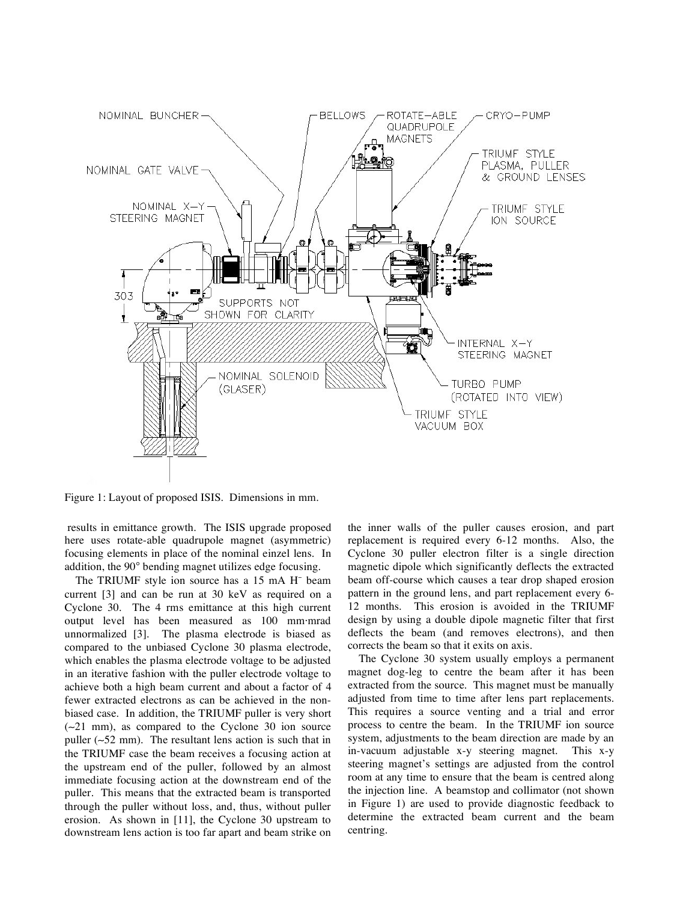

Figure 1: Layout of proposed ISIS. Dimensions in mm.

 results in emittance growth. The ISIS upgrade proposed here uses rotate-able quadrupole magnet (asymmetric) focusing elements in place of the nominal einzel lens. In addition, the 90° bending magnet utilizes edge focusing.

The TRIUMF style ion source has a 15 mA H beam current [3] and can be run at 30 keV as required on a Cyclone 30. The 4 rms emittance at this high current output level has been measured as 100 mm-mrad unnormalized [3]. The plasma electrode is biased as compared to the unbiased Cyclone 30 plasma electrode, which enables the plasma electrode voltage to be adjusted in an iterative fashion with the puller electrode voltage to achieve both a high beam current and about a factor of 4 fewer extracted electrons as can be achieved in the nonbiased case. In addition, the TRIUMF puller is very short (21 mm), as compared to the Cyclone 30 ion source puller  $(-52 \text{ mm})$ . The resultant lens action is such that in the TRIUMF case the beam receives a focusing action at the upstream end of the puller, followed by an almost immediate focusing action at the downstream end of the puller. This means that the extracted beam is transported through the puller without loss, and, thus, without puller erosion. As shown in [11], the Cyclone 30 upstream to downstream lens action is too far apart and beam strike on

the inner walls of the puller causes erosion, and part replacement is required every 6-12 months. Also, the Cyclone 30 puller electron filter is a single direction magnetic dipole which significantly deflects the extracted beam off-course which causes a tear drop shaped erosion pattern in the ground lens, and part replacement every 6- 12 months. This erosion is avoided in the TRIUMF design by using a double dipole magnetic filter that first deflects the beam (and removes electrons), and then corrects the beam so that it exits on axis.

The Cyclone 30 system usually employs a permanent magnet dog-leg to centre the beam after it has been extracted from the source. This magnet must be manually adjusted from time to time after lens part replacements. This requires a source venting and a trial and error process to centre the beam. In the TRIUMF ion source system, adjustments to the beam direction are made by an in-vacuum adjustable x-y steering magnet. This x-y steering magnet's settings are adjusted from the control room at any time to ensure that the beam is centred along the injection line. A beamstop and collimator (not shown in Figure 1) are used to provide diagnostic feedback to determine the extracted beam current and the beam centring.